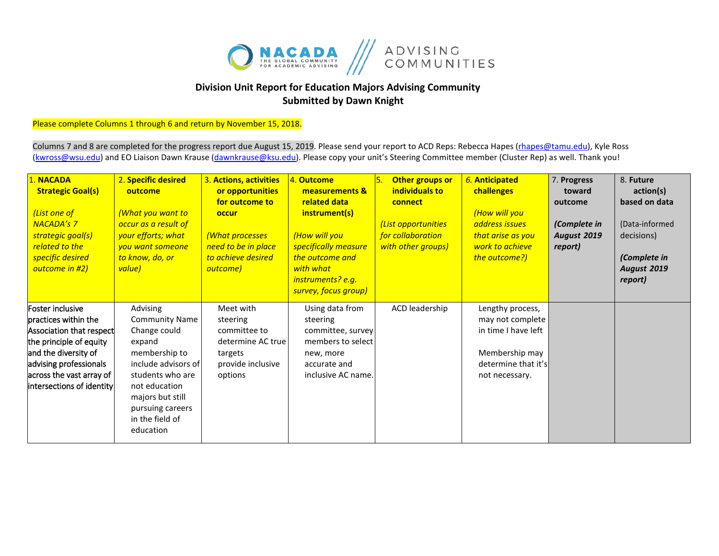

## **Division Unit Report for Education Majors Advising Community Submitted by Dawn Knight**

Please complete Columns 1 through 6 and return by November 15, 2018.

Columns 7 and 8 are completed for the progress report due August 15, 2019. Please send your report to ACD Reps: Rebecca Hapes (rhapes@tamu.edu), Kyle Ross [\(kwross@wsu.edu\)](mailto:kwross@wsu.edu) and EO Liaison Dawn Krause (dawnkrause@ksu.edu). Please copy your unit's Steering Committee member (Cluster Rep) as well. Thank you!

| 1. NACADA<br><b>Strategic Goal(s)</b><br>(List one of<br><b>NACADA's 7</b><br>strategic goal(s)<br>related to the<br>specific desired<br>outcome in #2)                                                    | 2. Specific desired<br>outcome<br>(What you want to<br>occur as a result of<br>your efforts; what<br>you want someone<br>to know, do, or<br>value)                                                               | 3. Actions, activities<br>or opportunities<br>for outcome to<br>occur<br>(What processes<br>need to be in place<br>to achieve desired<br>outcome) | 4. Outcome<br>measurements &<br>related data<br>instrument(s)<br>(How will you<br>specifically measure<br>the outcome and<br>with what<br>instruments? e.g.<br>survey, focus group) | Other groups or<br>individuals to<br>connect<br>(List opportunities<br>for collaboration<br>with other groups) | 6. Anticipated<br>challenges<br>(How will you<br>address issues<br>that arise as you<br>work to achieve<br>the outcome?) | 7. Progress<br>toward<br>outcome<br>(Complete in<br><b>August 2019</b><br>report) | 8. Future<br>action(s)<br>based on data<br>(Data-informed<br>decisions)<br>(Complete in<br>August 2019<br>report) |
|------------------------------------------------------------------------------------------------------------------------------------------------------------------------------------------------------------|------------------------------------------------------------------------------------------------------------------------------------------------------------------------------------------------------------------|---------------------------------------------------------------------------------------------------------------------------------------------------|-------------------------------------------------------------------------------------------------------------------------------------------------------------------------------------|----------------------------------------------------------------------------------------------------------------|--------------------------------------------------------------------------------------------------------------------------|-----------------------------------------------------------------------------------|-------------------------------------------------------------------------------------------------------------------|
| Foster inclusive<br>practices within the<br>Association that respect<br>the principle of equity<br>and the diversity of<br>advising professionals<br>across the vast array of<br>intersections of identity | Advising<br><b>Community Name</b><br>Change could<br>expand<br>membership to<br>include advisors of<br>students who are<br>not education<br>majors but still<br>pursuing careers<br>in the field of<br>education | Meet with<br>steering<br>committee to<br>determine AC true<br>targets<br>provide inclusive<br>options                                             | Using data from<br>steering<br>committee, survey<br>members to select<br>new, more<br>accurate and<br>inclusive AC name.                                                            | ACD leadership                                                                                                 | Lengthy process,<br>may not complete<br>in time I have left<br>Membership may<br>determine that it's<br>not necessary.   |                                                                                   |                                                                                                                   |